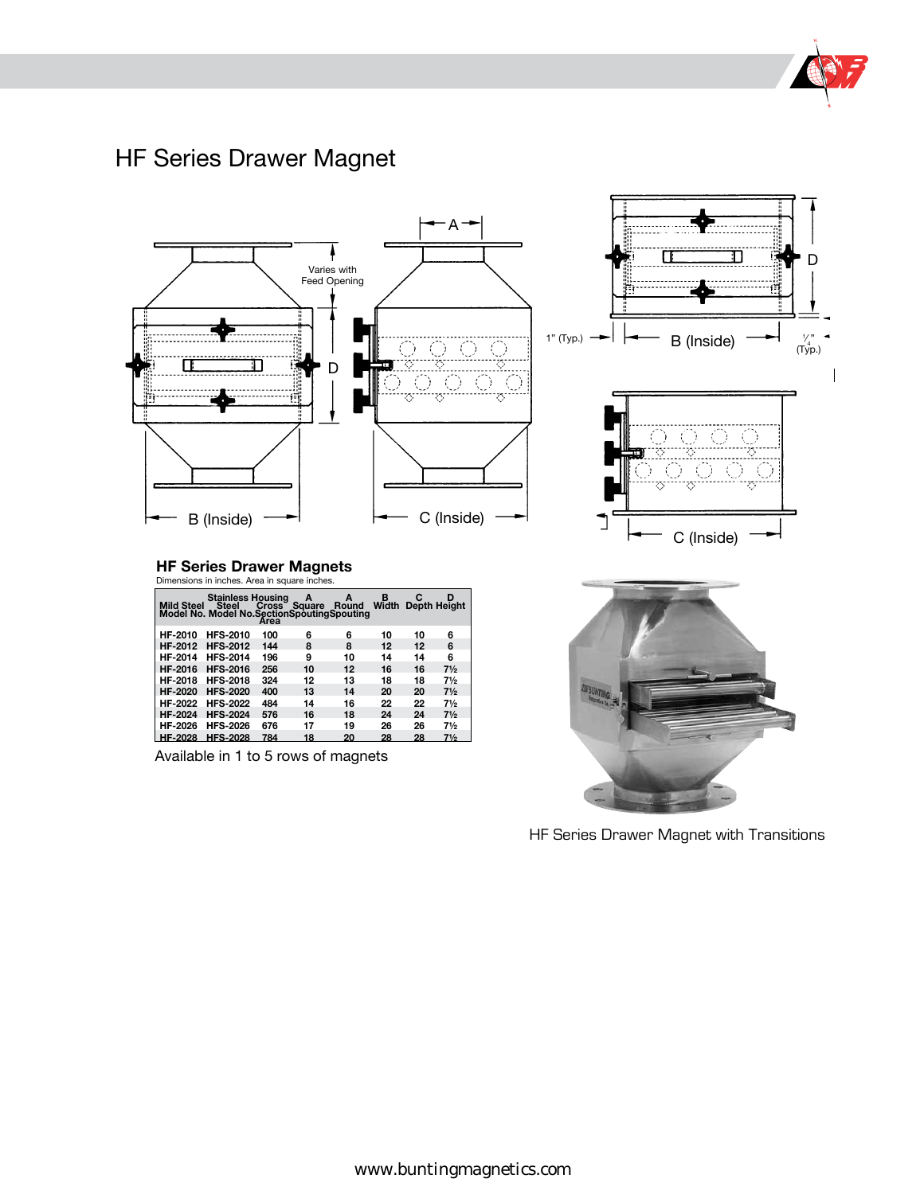

# HF Series Drawer Magnet



HF Series Drawer Magnet with Transitions